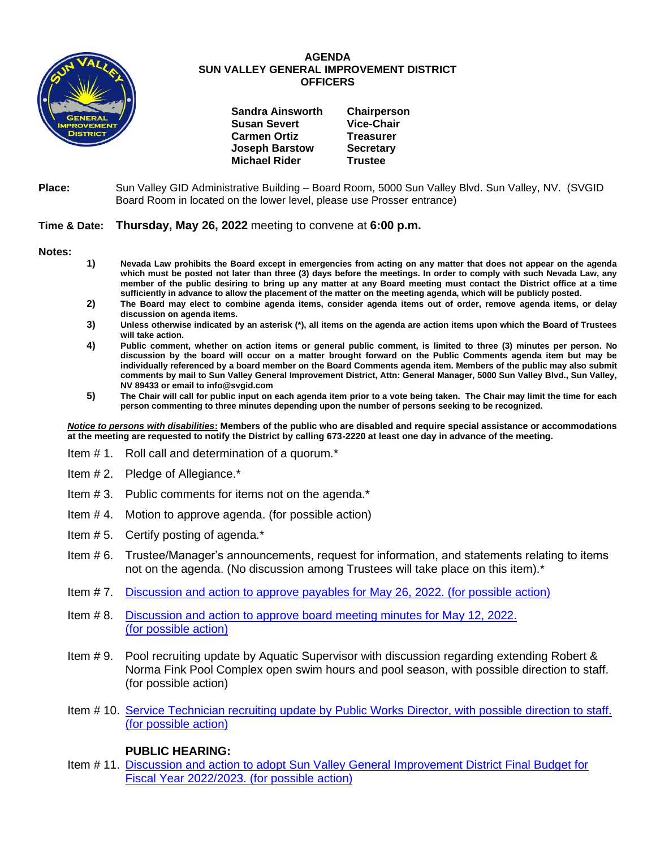

## **AGENDA SUN VALLEY GENERAL IMPROVEMENT DISTRICT OFFICERS**

| <b>Sandra Ainsworth</b> | Chairperson       |
|-------------------------|-------------------|
| <b>Susan Severt</b>     | <b>Vice-Chair</b> |
| <b>Carmen Ortiz</b>     | <b>Treasurer</b>  |
| <b>Joseph Barstow</b>   | <b>Secretary</b>  |
| <b>Michael Rider</b>    | <b>Trustee</b>    |

**Place:** Sun Valley GID Administrative Building – Board Room, 5000 Sun Valley Blvd. Sun Valley, NV. (SVGID Board Room in located on the lower level, please use Prosser entrance)

## **Time & Date: Thursday, May 26, 2022** meeting to convene at **6:00 p.m.**

**Notes:**

- **1) Nevada Law prohibits the Board except in emergencies from acting on any matter that does not appear on the agenda which must be posted not later than three (3) days before the meetings. In order to comply with such Nevada Law, any member of the public desiring to bring up any matter at any Board meeting must contact the District office at a time sufficiently in advance to allow the placement of the matter on the meeting agenda, which will be publicly posted.**
- **2) The Board may elect to combine agenda items, consider agenda items out of order, remove agenda items, or delay discussion on agenda items.**
- **3) Unless otherwise indicated by an asterisk (\*), all items on the agenda are action items upon which the Board of Trustees will take action.**
- **4) Public comment, whether on action items or general public comment, is limited to three (3) minutes per person. No discussion by the board will occur on a matter brought forward on the Public Comments agenda item but may be individually referenced by a board member on the Board Comments agenda item. Members of the public may also submit comments by mail to Sun Valley General Improvement District, Attn: General Manager, 5000 Sun Valley Blvd., Sun Valley, NV 89433 or email to info@svgid.com**
- **5) The Chair will call for public input on each agenda item prior to a vote being taken. The Chair may limit the time for each person commenting to three minutes depending upon the number of persons seeking to be recognized.**

*Notice to persons with disabilities***: Members of the public who are disabled and require special assistance or accommodations at the meeting are requested to notify the District by calling 673-2220 at least one day in advance of the meeting.**

- Item # 1. Roll call and determination of a quorum.\*
- Item # 2. Pledge of Allegiance.\*
- Item # 3. Public comments for items not on the agenda.\*
- Item # 4. Motion to approve agenda. (for possible action)
- Item # 5. Certify posting of agenda.\*
- Item # 6. Trustee/Manager's announcements, request for information, and statements relating to items not on the agenda. (No discussion among Trustees will take place on this item).\*
- Item # 7. [Discussion and action to approve payables](https://www.svgid.com/wp-content/uploads/052622_AgendaItem07.pdf) for May 26, 2022. (for possible action)
- Item # 8. [Discussion and action to approve board meeting minutes for](https://www.svgid.com/wp-content/uploads/052622_AgendaItem08.pdf) May 12, 2022. [\(for possible action\)](https://www.svgid.com/wp-content/uploads/052622_AgendaItem08.pdf)
- Item # 9. Pool recruiting update by Aquatic Supervisor with discussion regarding extending Robert & Norma Fink Pool Complex open swim hours and pool season, with possible direction to staff. (for possible action)
- Item # 10. [Service Technician recruiting update by Public Works Director, with possible direction to staff.](https://www.svgid.com/wp-content/uploads/052622_AgendaItem10.pdf)  [\(for possible action\)](https://www.svgid.com/wp-content/uploads/052622_AgendaItem10.pdf)

## **PUBLIC HEARING:**

Item # 11. [Discussion and action to adopt Sun Valley General Improvement District Final Budget for](https://www.svgid.com/wp-content/uploads/052622_AgendaItem11.pdf)  [Fiscal Year 2022/2023. \(for possible action\)](https://www.svgid.com/wp-content/uploads/052622_AgendaItem11.pdf)